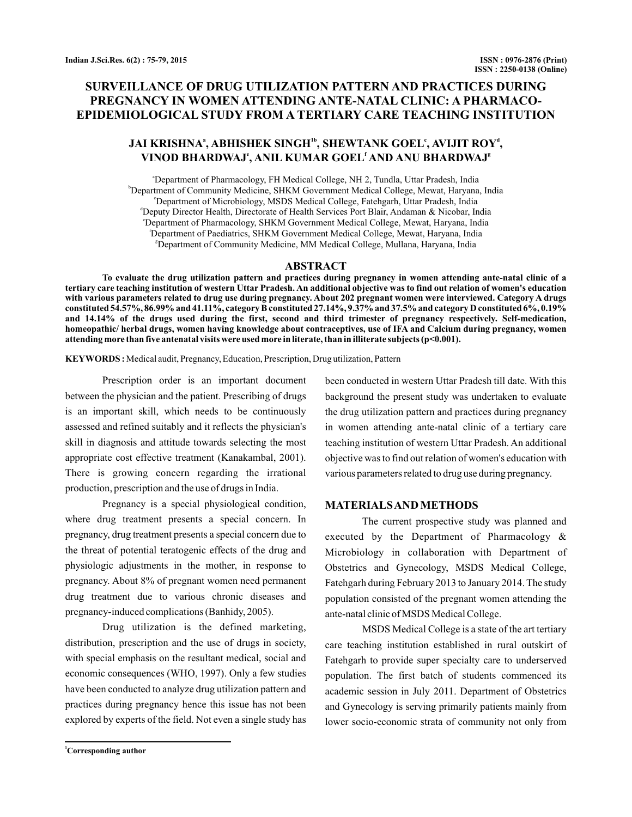# **SURVEILLANCE OF DRUG UTILIZATION PATTERN AND PRACTICES DURING PREGNANCY IN WOMEN ATTENDING ANTE-NATAL CLINIC: A PHARMACO-EPIDEMIOLOGICAL STUDY FROM A TERTIARY CARE TEACHING INSTITUTION**

# **JAI KRISHNA , ABHISHEK SINGH , SHEWTANK GOEL , AVIJIT ROY , a 1b c d**  $\bf VINOD\ BHARDWAJ^e, ANIL\ KUMAR\ GOEL^f AND\ ANU\ BHARDWAJ^e$

a Department of Pharmacology, FH Medical College, NH 2, Tundla, Uttar Pradesh, India b Department of Community Medicine, SHKM Government Medical College, Mewat, Haryana, India c Department of Microbiology, MSDS Medical College, Fatehgarh, Uttar Pradesh, India <sup>d</sup>Deputy Director Health, Directorate of Health Services Port Blair, Andaman & Nicobar, India e Department of Pharmacology, SHKM Government Medical College, Mewat, Haryana, India f Department of Paediatrics, SHKM Government Medical College, Mewat, Haryana, India <sup>8</sup>Department of Community Medicine, MM Medical College, Mullana, Haryana, India

### **ABSTRACT**

**To evaluate the drug utilization pattern and practices during pregnancy in women attending ante-natal clinic of a tertiary care teaching institution of western Uttar Pradesh. An additional objective was to find out relation of women's education with various parameters related to drug use during pregnancy. About 202 pregnant women were interviewed. Category A drugs constituted 54.57%, 86.99% and 41.11%, category B constituted 27.14%, 9.37% and 37.5% and category D constituted 6%, 0.19% and 14.14% of the drugs used during the first, second and third trimester of pregnancy respectively. Self-medication, homeopathic/ herbal drugs, women having knowledge about contraceptives, use of IFA and Calcium during pregnancy, women attending more than five antenatal visits were used more in literate, than in illiterate subjects (p<0.001).**

**KEYWORDS :** Medical audit, Pregnancy, Education, Prescription, Drug utilization, Pattern

Prescription order is an important document between the physician and the patient. Prescribing of drugs is an important skill, which needs to be continuously assessed and refined suitably and it reflects the physician's skill in diagnosis and attitude towards selecting the most appropriate cost effective treatment (Kanakambal, 2001). There is growing concern regarding the irrational production, prescription and the use of drugs in India.

Pregnancy is a special physiological condition, where drug treatment presents a special concern. In pregnancy, drug treatment presents a special concern due to the threat of potential teratogenic effects of the drug and physiologic adjustments in the mother, in response to pregnancy. About 8% of pregnant women need permanent drug treatment due to various chronic diseases and pregnancy-induced complications (Banhidy, 2005).

Drug utilization is the defined marketing, distribution, prescription and the use of drugs in society, with special emphasis on the resultant medical, social and economic consequences (WHO, 1997). Only a few studies have been conducted to analyze drug utilization pattern and practices during pregnancy hence this issue has not been explored by experts of the field. Not even a single study has

been conducted in western Uttar Pradesh till date. With this background the present study was undertaken to evaluate the drug utilization pattern and practices during pregnancy in women attending ante-natal clinic of a tertiary care teaching institution of western Uttar Pradesh. An additional objective was to find out relation of women's education with various parameters related to drug use during pregnancy.

#### **MATERIALSAND METHODS**

The current prospective study was planned and executed by the Department of Pharmacology & Microbiology in collaboration with Department of Obstetrics and Gynecology, MSDS Medical College, Fatehgarh during February 2013 to January 2014. The study population consisted of the pregnant women attending the ante-natal clinic of MSDS Medical College.

MSDS Medical College is a state of the art tertiary care teaching institution established in rural outskirt of Fatehgarh to provide super specialty care to underserved population. The first batch of students commenced its academic session in July 2011. Department of Obstetrics and Gynecology is serving primarily patients mainly from lower socio-economic strata of community not only from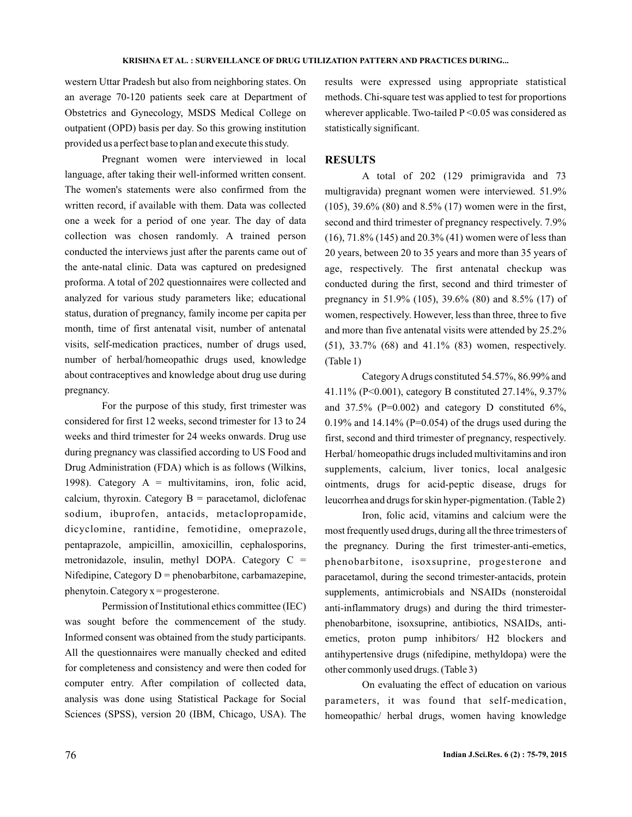western Uttar Pradesh but also from neighboring states. On an average 70-120 patients seek care at Department of Obstetrics and Gynecology, MSDS Medical College on outpatient (OPD) basis per day. So this growing institution provided us a perfect base to plan and execute this study.

Pregnant women were interviewed in local language, after taking their well-informed written consent. The women's statements were also confirmed from the written record, if available with them. Data was collected one a week for a period of one year. The day of data collection was chosen randomly. A trained person conducted the interviews just after the parents came out of the ante-natal clinic. Data was captured on predesigned proforma. A total of 202 questionnaires were collected and analyzed for various study parameters like; educational status, duration of pregnancy, family income per capita per month, time of first antenatal visit, number of antenatal visits, self-medication practices, number of drugs used, number of herbal/homeopathic drugs used, knowledge about contraceptives and knowledge about drug use during pregnancy.

For the purpose of this study, first trimester was considered for first 12 weeks, second trimester for 13 to 24 weeks and third trimester for 24 weeks onwards. Drug use during pregnancy was classified according to US Food and Drug Administration (FDA) which is as follows (Wilkins, 1998). Category  $A =$  multivitamins, iron, folic acid, calcium, thyroxin. Category  $B =$  paracetamol, diclofenac sodium, ibuprofen, antacids, metaclopropamide, dicyclomine, rantidine, femotidine, omeprazole, pentaprazole, ampicillin, amoxicillin, cephalosporins, metronidazole, insulin, methyl DOPA. Category C = Nifedipine, Category  $D =$  phenobarbitone, carbamazepine, phenytoin. Category  $x =$  progesterone.

Permission of Institutional ethics committee (IEC) was sought before the commencement of the study. Informed consent was obtained from the study participants. All the questionnaires were manually checked and edited for completeness and consistency and were then coded for computer entry. After compilation of collected data, analysis was done using Statistical Package for Social Sciences (SPSS), version 20 (IBM, Chicago, USA). The results were expressed using appropriate statistical methods. Chi-square test was applied to test for proportions wherever applicable. Two-tailed P < 0.05 was considered as statistically significant.

#### **RESULTS**

A total of 202 (129 primigravida and 73 multigravida) pregnant women were interviewed. 51.9% (105), 39.6% (80) and 8.5% (17) women were in the first, second and third trimester of pregnancy respectively. 7.9% (16), 71.8% (145) and 20.3% (41) women were of less than 20 years, between 20 to 35 years and more than 35 years of age, respectively. The first antenatal checkup was conducted during the first, second and third trimester of pregnancy in 51.9% (105), 39.6% (80) and 8.5% (17) of women, respectively. However, less than three, three to five and more than five antenatal visits were attended by 25.2% (51), 33.7% (68) and 41.1% (83) women, respectively. (Table 1)

CategoryAdrugs constituted 54.57%, 86.99% and 41.11% (P<0.001), category B constituted 27.14%, 9.37% and  $37.5\%$  (P=0.002) and category D constituted 6%, 0.19% and 14.14% (P=0.054) of the drugs used during the first, second and third trimester of pregnancy, respectively. Herbal/ homeopathic drugs included multivitamins and iron supplements, calcium, liver tonics, local analgesic ointments, drugs for acid-peptic disease, drugs for leucorrhea and drugs for skin hyper-pigmentation. (Table 2)

Iron, folic acid, vitamins and calcium were the most frequently used drugs, during all the three trimesters of the pregnancy. During the first trimester-anti-emetics, phenobarbitone, isoxsuprine, progesterone and paracetamol, during the second trimester-antacids, protein supplements, antimicrobials and NSAIDs (nonsteroidal anti-inflammatory drugs) and during the third trimesterphenobarbitone, isoxsuprine, antibiotics, NSAIDs, antiemetics, proton pump inhibitors/ H2 blockers and antihypertensive drugs (nifedipine, methyldopa) were the other commonly used drugs. (Table 3)

On evaluating the effect of education on various parameters, it was found that self-medication, homeopathic/ herbal drugs, women having knowledge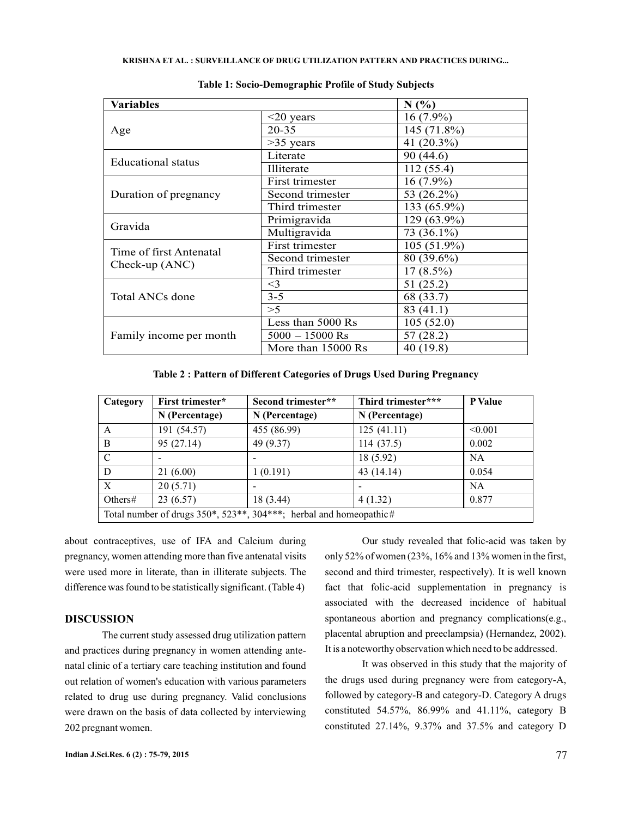| Variables                                   |                    | N(%)          |
|---------------------------------------------|--------------------|---------------|
|                                             | $\leq$ 20 years    | $16(7.9\%)$   |
| Age                                         | $20 - 35$          | 145 (71.8%)   |
|                                             | $>35$ years        | 41 (20.3%)    |
| Educational status                          | Literate           | 90 (44.6)     |
|                                             | <b>Illiterate</b>  | 112(55.4)     |
|                                             | First trimester    | $16(7.9\%)$   |
| Duration of pregnancy                       | Second trimester   | 53 (26.2%)    |
|                                             | Third trimester    | 133 (65.9%)   |
| Gravida                                     | Primigravida       | 129 (63.9%)   |
|                                             | Multigravida       | 73 (36.1%)    |
| Time of first Antenatal<br>Check-up $(ANC)$ | First trimester    | $105(51.9\%)$ |
|                                             | Second trimester   | 80 (39.6%)    |
|                                             | Third trimester    | $17(8.5\%)$   |
|                                             | $\leq$ 3           | 51 (25.2)     |
| Total ANCs done                             | $3 - 5$            | 68 (33.7)     |
|                                             | >5                 | 83 (41.1)     |
|                                             | Less than 5000 Rs  | 105(52.0)     |
| Family income per month                     | $5000 - 15000$ Rs  | 57 (28.2)     |
|                                             | More than 15000 Rs | 40 (19.8)     |

**Table 1: Socio-Demographic Profile of Study Subjects**

**Table 2 : Pattern of Different Categories of Drugs Used During Pregnancy**

| Category                                                                           | First trimester*         | Third trimester***<br>Second trimester** |                | <b>P</b> Value |
|------------------------------------------------------------------------------------|--------------------------|------------------------------------------|----------------|----------------|
|                                                                                    | N (Percentage)           | N (Percentage)                           | N (Percentage) |                |
| A                                                                                  | 191 (54.57)              | 455 (86.99)                              | 125(41.11)     | < 0.001        |
| B                                                                                  | 95 (27.14)               | 49 (9.37)                                | 114(37.5)      | 0.002          |
| C                                                                                  | $\overline{\phantom{a}}$ |                                          | 18 (5.92)      | <b>NA</b>      |
| D                                                                                  | 21(6.00)                 | 1(0.191)                                 | 43 (14.14)     | 0.054          |
| $\mathbf{X}$                                                                       | 20(5.71)                 |                                          |                | <b>NA</b>      |
| Others $#$                                                                         | 23(6.57)                 | 18 (3.44)                                | 4(1.32)        | 0.877          |
| Total number of drugs $350^*$ , $523^{**}$ , $304^{***}$ ; herbal and homeopathic# |                          |                                          |                |                |

about contraceptives, use of IFA and Calcium during pregnancy, women attending more than five antenatal visits were used more in literate, than in illiterate subjects. The difference was found to be statistically significant. (Table 4)

# **DISCUSSION**

The current study assessed drug utilization pattern and practices during pregnancy in women attending antenatal clinic of a tertiary care teaching institution and found out relation of women's education with various parameters related to drug use during pregnancy. Valid conclusions were drawn on the basis of data collected by interviewing 202 pregnant women.

Our study revealed that folic-acid was taken by only 52% of women (23%, 16% and 13% women in the first, second and third trimester, respectively). It is well known fact that folic-acid supplementation in pregnancy is associated with the decreased incidence of habitual spontaneous abortion and pregnancy complications(e.g., placental abruption and preeclampsia) (Hernandez, 2002). It is a noteworthy observation which need to be addressed.

It was observed in this study that the majority of the drugs used during pregnancy were from category-A, followed by category-B and category-D. Category A drugs constituted 54.57%, 86.99% and 41.11%, category B constituted 27.14%, 9.37% and 37.5% and category D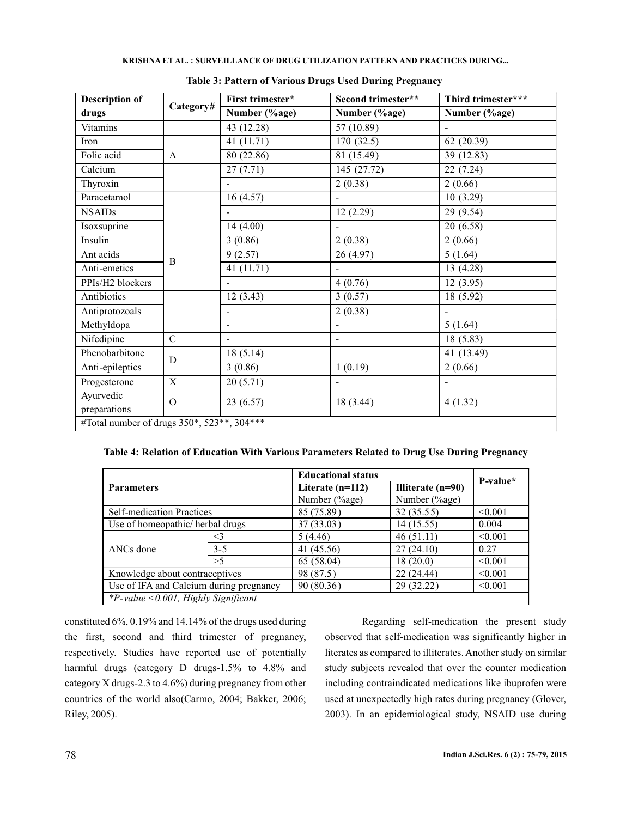| <b>Description of</b>                      | Category#   | First trimester* | Second trimester**       | Third trimester***   |
|--------------------------------------------|-------------|------------------|--------------------------|----------------------|
| drugs                                      |             | Number (%age)    | Number (%age)            | Number (%age)        |
| Vitamins                                   |             | 43 (12.28)       | 57 (10.89)               |                      |
| Iron                                       |             | 41(11.71)        | 170(32.5)                | 62(20.39)            |
| Folic acid                                 | A           | 80 (22.86)       | 81 (15.49)               | 39 (12.83)           |
| Calcium                                    |             | 27(7.71)         | 145(27.72)               | 22(7.24)             |
| Thyroxin                                   |             | ÷.               | 2(0.38)                  | 2(0.66)              |
| Paracetamol                                |             | 16(4.57)         | ÷                        | 10(3.29)             |
| <b>NSAIDs</b>                              |             | ÷.               | 12(2.29)                 | 29 (9.54)            |
| Isoxsuprine                                |             | 14 (4.00)        | ÷.                       | 20 (6.58)            |
| Insulin                                    | B           | 3(0.86)          | 2(0.38)                  | 2(0.66)              |
| Ant acids                                  |             | 9(2.57)          | 26 (4.97)                | 5(1.64)              |
| Anti-emetics                               |             | 41 (11.71)       |                          | 13 (4.28)            |
| PPIs/H2 blockers                           |             |                  | 4(0.76)                  | 12(3.95)             |
| Antibiotics                                |             | 12(3.43)         | 3(0.57)                  | 18(5.92)             |
| Antiprotozoals                             |             |                  | 2(0.38)                  |                      |
| Methyldopa                                 |             |                  | $\overline{\phantom{0}}$ | $5(1.\overline{64})$ |
| Nifedipine                                 | $\mathbf C$ |                  | $\overline{\phantom{a}}$ | 18(5.83)             |
| Phenobarbitone                             | D           | 18(5.14)         |                          | 41 (13.49)           |
| Anti-epileptics                            |             | 3(0.86)          | 1(0.19)                  | 2(0.66)              |
| Progesterone                               | X           | 20(5.71)         |                          |                      |
| Ayurvedic<br>preparations                  | $\Omega$    | 23(6.57)         | 18 (3.44)                | 4(1.32)              |
| #Total number of drugs 350*, 523**, 304*** |             |                  |                          |                      |

| <b>Table 3: Pattern of Various Drugs Used During Pregnancy</b> |  |  |
|----------------------------------------------------------------|--|--|
|                                                                |  |  |

# **Table 4: Relation of Education With Various Parameters Related to Drug Use During Pregnancy**

| <b>Parameters</b>                       |         | <b>Educational status</b> |                   | P-value* |
|-----------------------------------------|---------|---------------------------|-------------------|----------|
|                                         |         | Literate (n=112)          | Illiterate (n=90) |          |
|                                         |         | Number (%age)             | Number (%age)     |          |
| Self-medication Practices               |         | 85 (75.89)                | 32(35.55)         | < 0.001  |
| Use of homeopathic/ herbal drugs        |         | 37 (33.03)                | 14 (15.55)        | 0.004    |
| ANCs done                               | <3      | 5(4.46)                   | 46(51.11)         | < 0.001  |
|                                         | $3 - 5$ | 41 (45.56)                | 27(24.10)         | 0.27     |
|                                         | >5      | 65 (58.04)                | 18(20.0)          | < 0.001  |
| Knowledge about contraceptives          |         | 98 (87.5)                 | 22 (24.44)        | < 0.001  |
| Use of IFA and Calcium during pregnancy |         | 90 (80.36)                | 29 (32.22)        | < 0.001  |
| $*P-value < 0.001$ , Highly Significant |         |                           |                   |          |

constituted 6%, 0.19% and 14.14% of the drugs used during the first, second and third trimester of pregnancy, respectively. Studies have reported use of potentially harmful drugs (category D drugs-1.5% to 4.8% and category X drugs-2.3 to 4.6%) during pregnancy from other countries of the world also(Carmo, 2004; Bakker, 2006; Riley, 2005).

Regarding self-medication the present study observed that self-medication was significantly higher in literates as compared to illiterates. Another study on similar study subjects revealed that over the counter medication including contraindicated medications like ibuprofen were used at unexpectedly high rates during pregnancy (Glover, 2003). In an epidemiological study, NSAID use during